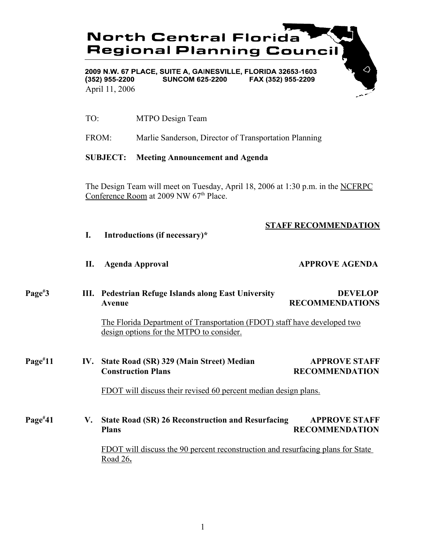

- TO: MTPO Design Team
- FROM: Marlie Sanderson, Director of Transportation Planning

# **SUBJECT: Meeting Announcement and Agenda**

The Design Team will meet on Tuesday, April 18, 2006 at 1:30 p.m. in the NCFRPC Conference Room at 2009 NW 67<sup>th</sup> Place.

# **STAFF RECOMMENDATION**

- **I. Introductions (if necessary)\***
- **II.** Agenda Approval **APPROVE AGENDA**

# **Page# 3 III. Pedestrian Refuge Islands along East University DEVELOP** Avenue RECOMMENDATIONS

The Florida Department of Transportation (FDOT) staff have developed two design options for the MTPO to consider.

**Page# 111 IV.** State Road (SR) 329 (Main Street) Median APPROVE STAFF **Construction Plans RECOMMENDATION** 

FDOT will discuss their revised 60 percent median design plans.

**Page# 41 V. State Road (SR) 26 Reconstruction and Resurfacing APPROVE STAFF Plans** RECOMMENDATION FDOT will discuss the 90 percent reconstruction and resurfacing plans for State Road 26**.**